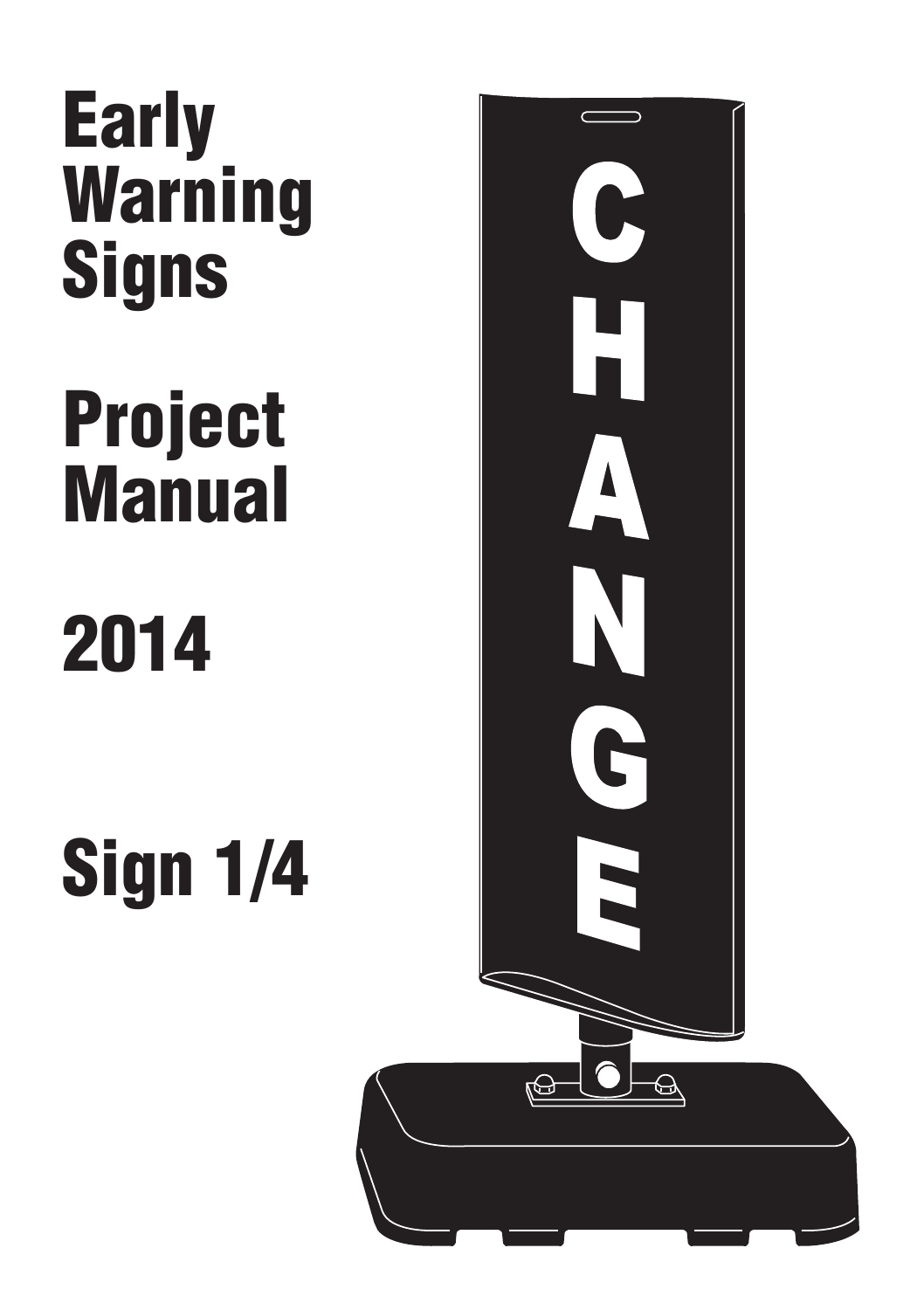# Early Warning **Signs**

# Project **Manual**

# 2014

Sign 1/4

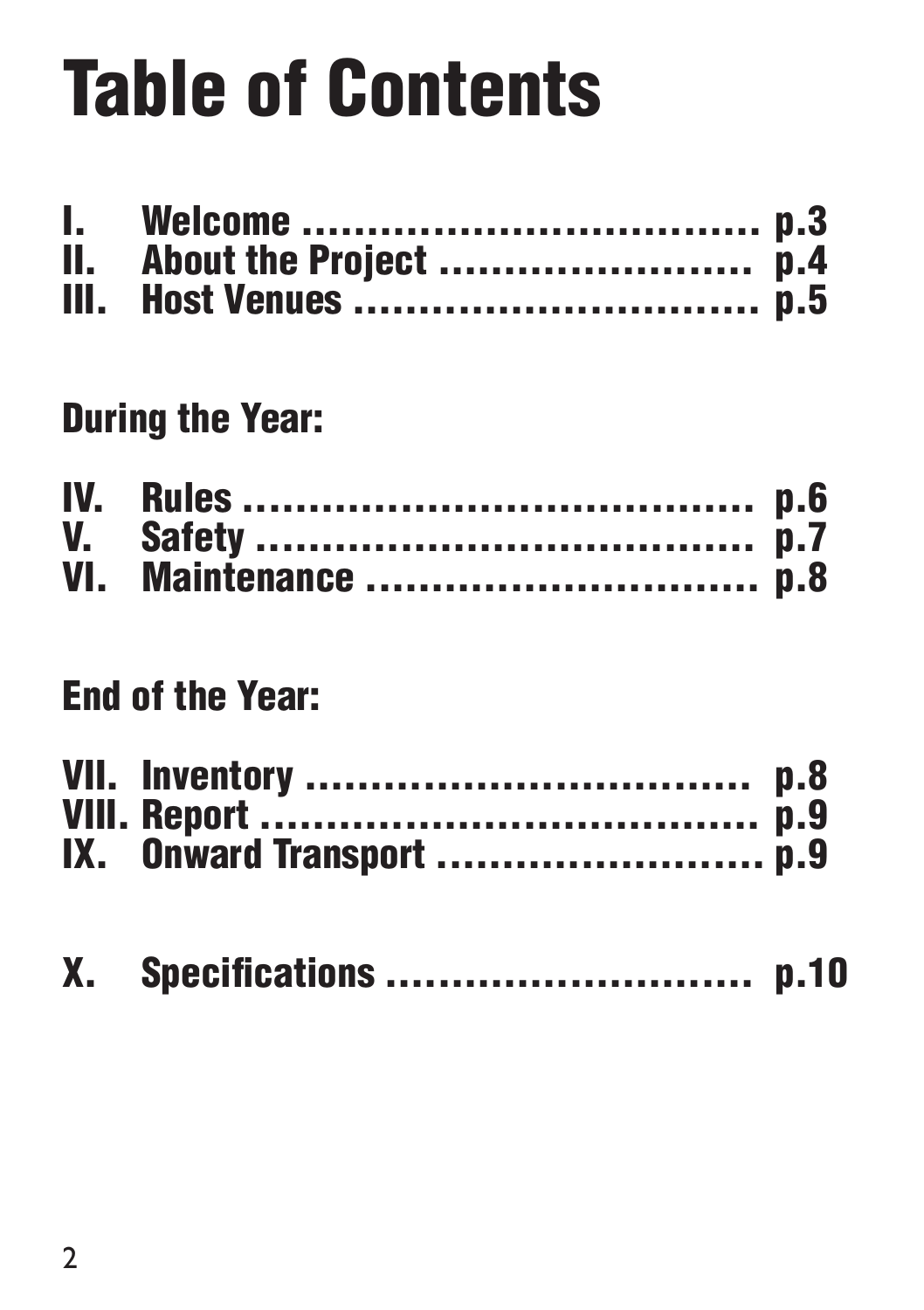# Table of Contents

#### During the Year:

| VI. Maintenance p.8 |  |
|---------------------|--|

#### End of the Year:

| IX. Onward Transport p.9 |  |
|--------------------------|--|

|  |  | X. Specifications  p.10 |  |
|--|--|-------------------------|--|
|--|--|-------------------------|--|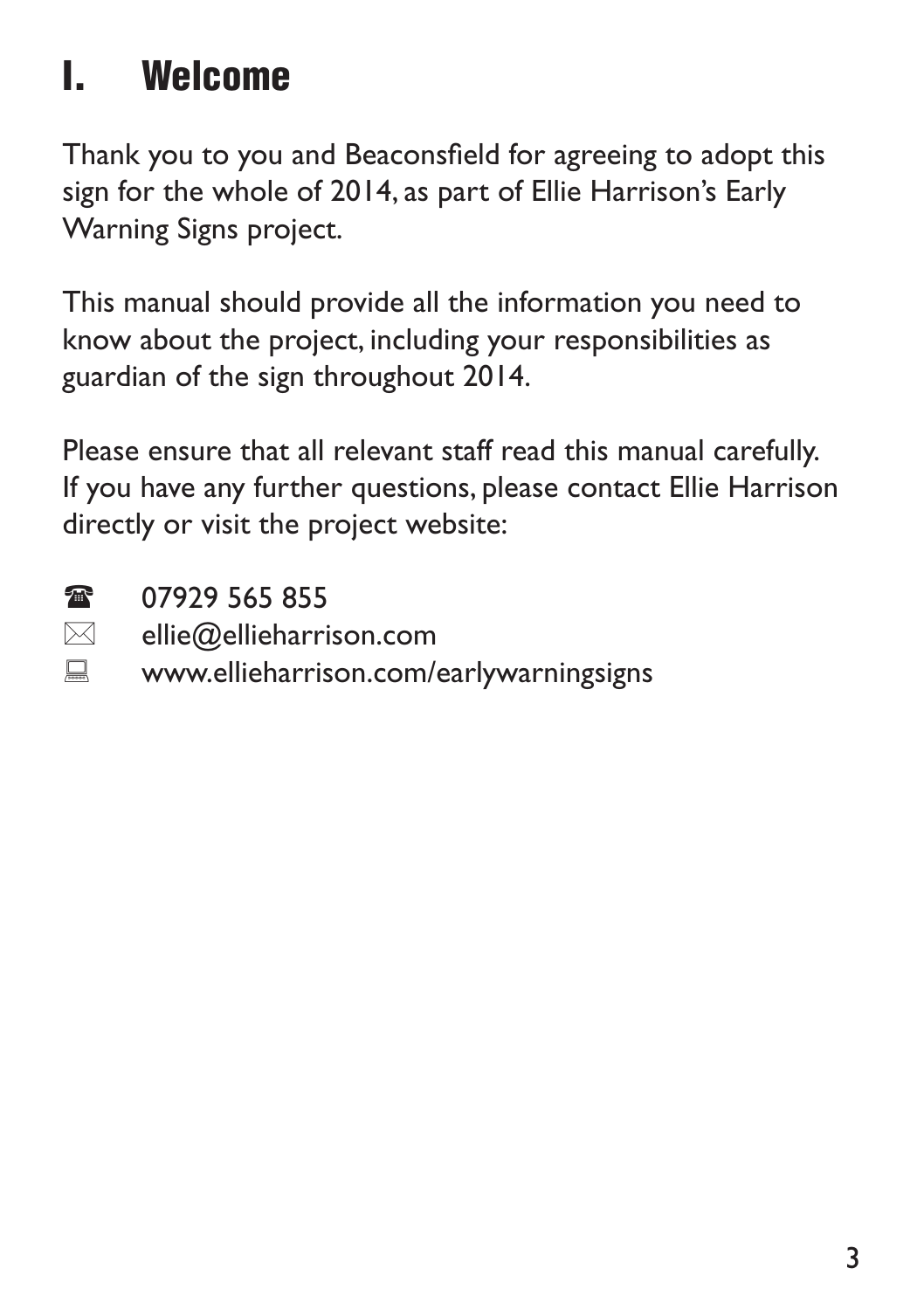## I. Welcome

Thank you to you and Beaconsfield for agreeing to adopt this sign for the whole of 2014, as part of Ellie Harrison's Early Warning Signs project.

This manual should provide all the information you need to know about the project, including your responsibilities as guardian of the sign throughout 2014.

Please ensure that all relevant staff read this manual carefully. If you have any further questions, please contact Ellie Harrison directly or visit the project website:

**125 07929 565 855** 

- $\boxtimes$  ellie $@$ ellieharrison.com
- **E** www.ellieharrison.com/earlywarningsigns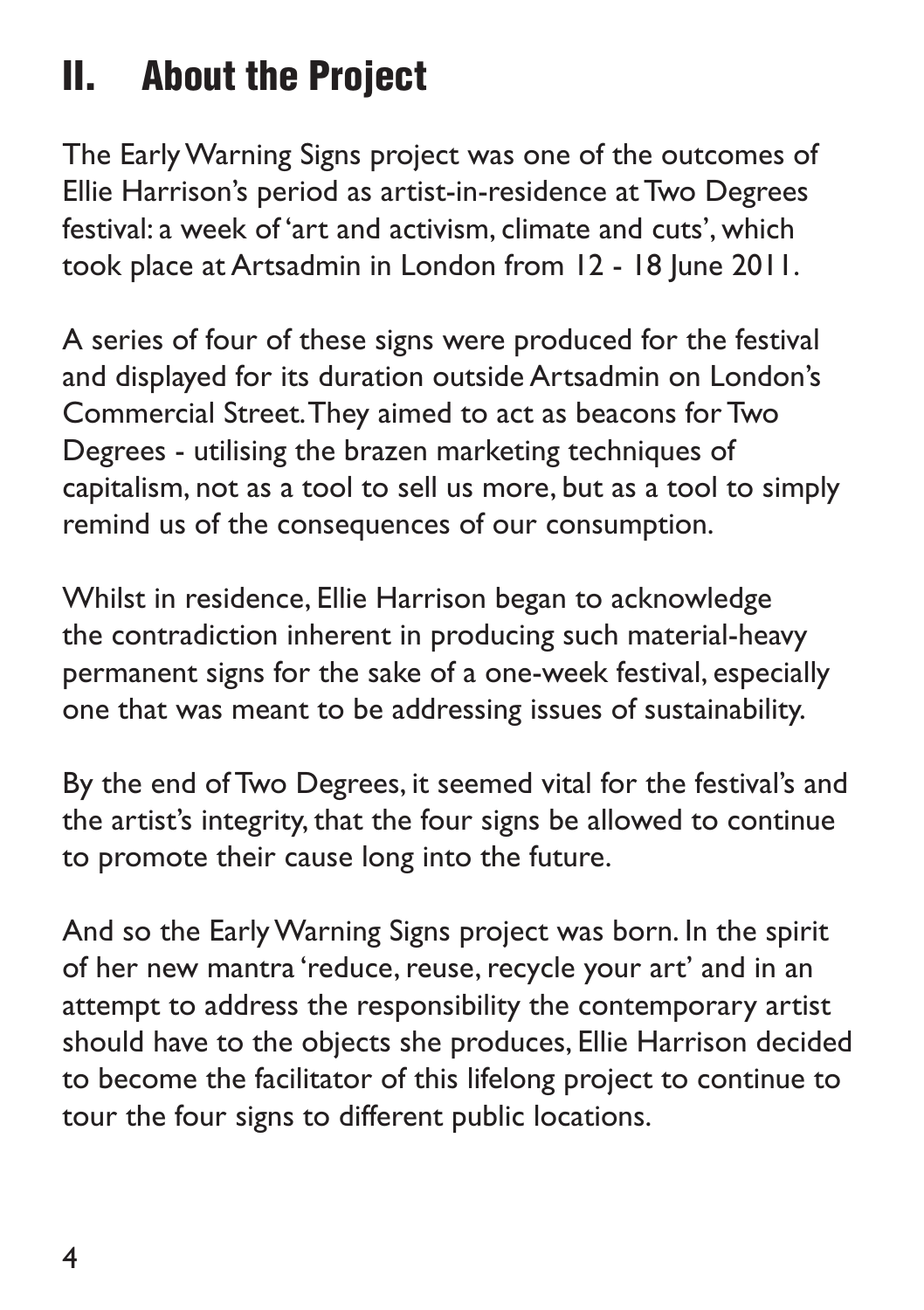#### II. About the Project

The Early Warning Signs project was one of the outcomes of Ellie Harrison's period as artist-in-residence at Two Degrees festival: a week of 'art and activism, climate and cuts', which took place at Artsadmin in London from 12 - 18 June 2011.

A series of four of these signs were produced for the festival and displayed for its duration outside Artsadmin on London's Commercial Street. They aimed to act as beacons for Two Degrees - utilising the brazen marketing techniques of capitalism, not as a tool to sell us more, but as a tool to simply remind us of the consequences of our consumption.

Whilst in residence, Ellie Harrison began to acknowledge the contradiction inherent in producing such material-heavy permanent signs for the sake of a one-week festival, especially one that was meant to be addressing issues of sustainability.

By the end of Two Degrees, it seemed vital for the festival's and the artist's integrity, that the four signs be allowed to continue to promote their cause long into the future.

And so the Early Warning Signs project was born. In the spirit of her new mantra 'reduce, reuse, recycle your art' and in an attempt to address the responsibility the contemporary artist should have to the objects she produces, Ellie Harrison decided to become the facilitator of this lifelong project to continue to tour the four signs to different public locations.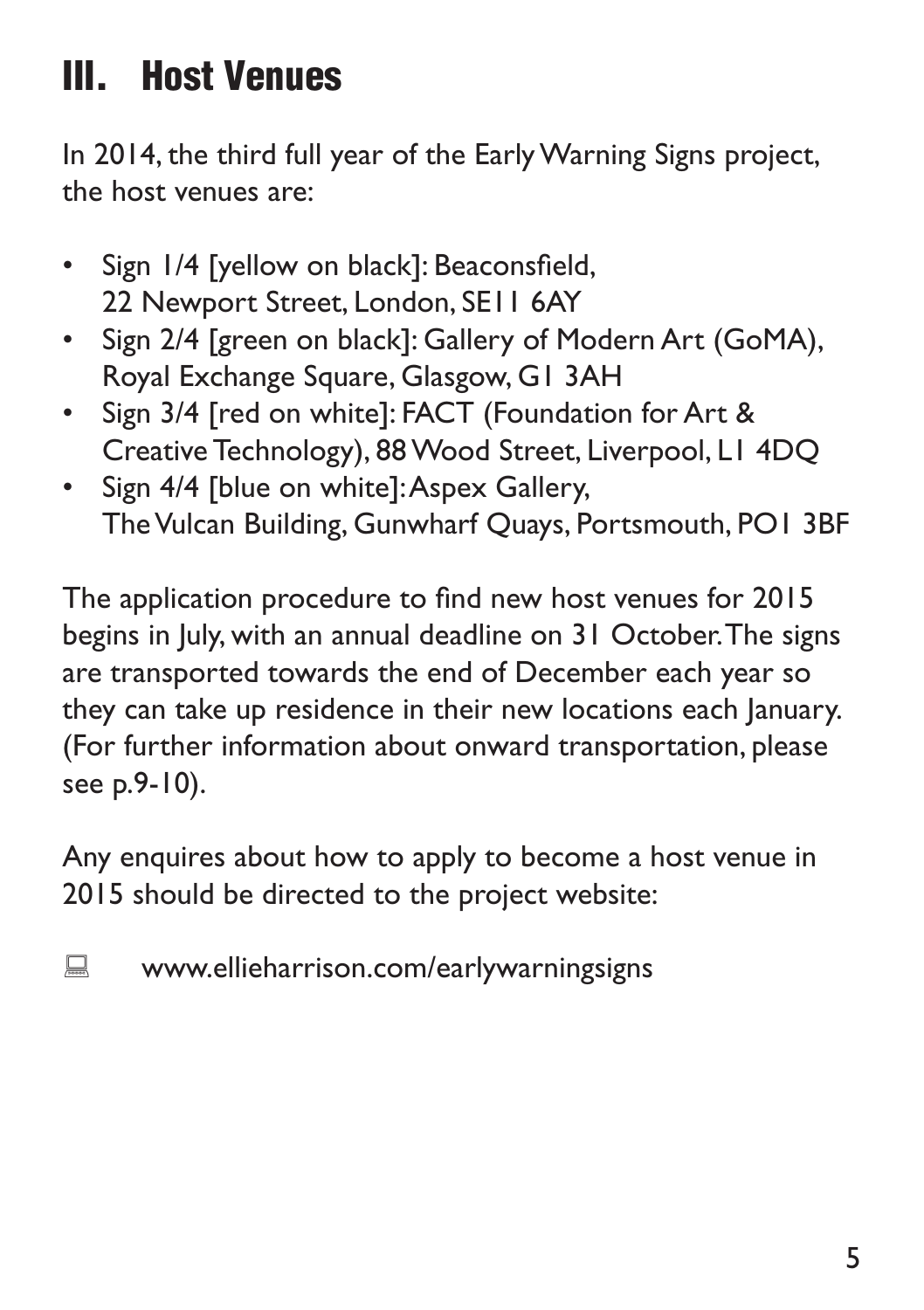#### III. Host Venues

In 2014, the third full year of the Early Warning Signs project, the host venues are:

- Sign 1/4 [yellow on black]: Beaconsfield, 22 Newport Street, London, SE11 6AY
- Sign 2/4 [green on black]: Gallery of Modern Art (GoMA), Royal Exchange Square, Glasgow, G1 3AH
- Sign 3/4 [red on white]: FACT (Foundation for Art & Creative Technology), 88 Wood Street, Liverpool, L1 4DQ
- Sign 4/4 [blue on white]: Aspex Gallery, The Vulcan Building, Gunwharf Quays, Portsmouth, PO1 3BF

The application procedure to find new host venues for 2015 begins in July, with an annual deadline on 31 October. The signs are transported towards the end of December each year so they can take up residence in their new locations each January. (For further information about onward transportation, please see p.9-10).

Any enquires about how to apply to become a host venue in 2015 should be directed to the project website:

**WWW.ellieharrison.com/earlywarningsigns**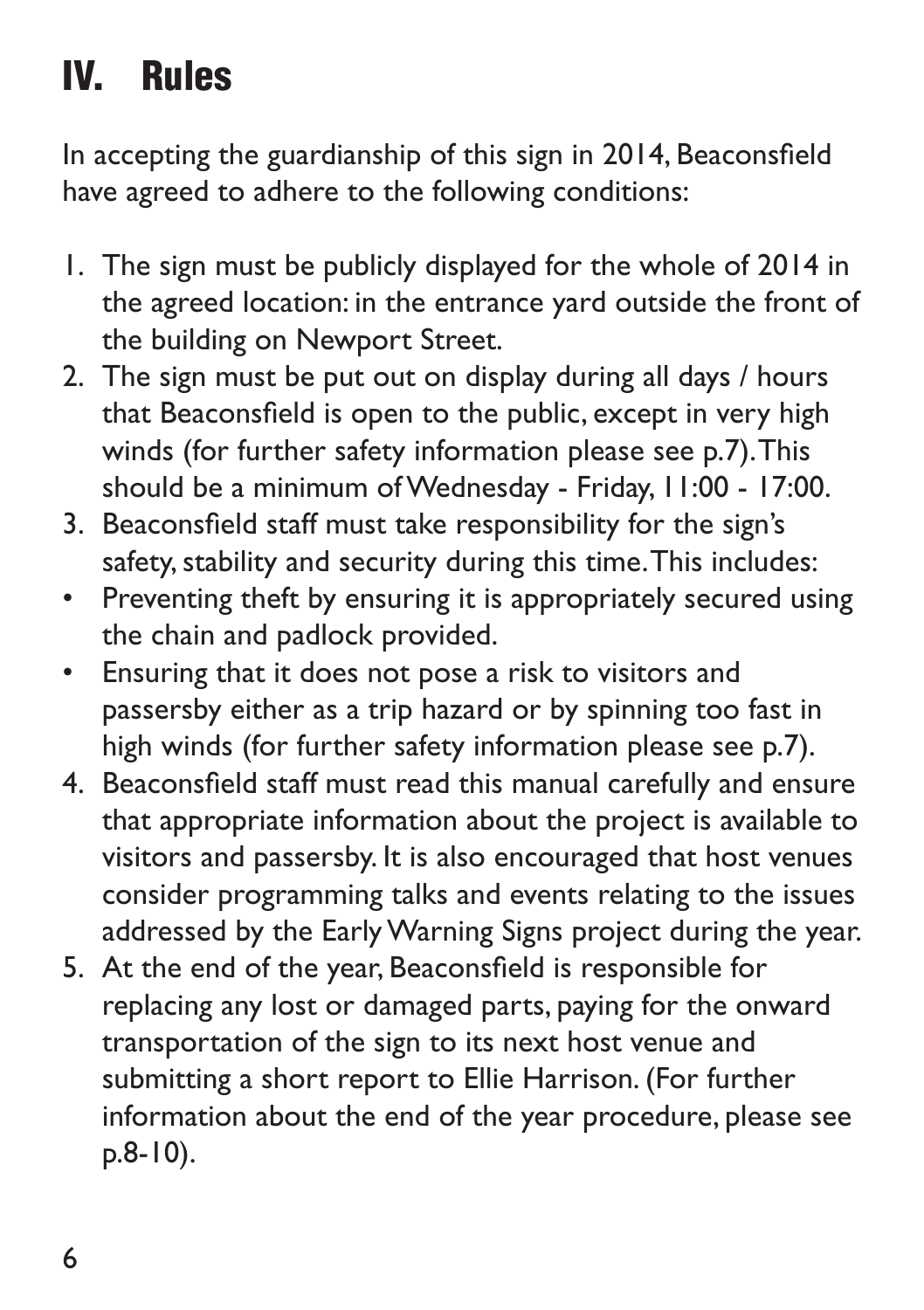## IV. Rules

In accepting the guardianship of this sign in 2014, Beaconsfield have agreed to adhere to the following conditions:

- 1. The sign must be publicly displayed for the whole of 2014 in the agreed location: in the entrance yard outside the front of the building on Newport Street.
- 2. The sign must be put out on display during all days / hours that Beaconsfield is open to the public, except in very high winds (for further safety information please see p.7). This should be a minimum of Wednesday - Friday, 11:00 - 17:00.
- 3. Beaconsfield staff must take responsibility for the sign's safety, stability and security during this time. This includes:
- Preventing theft by ensuring it is appropriately secured using the chain and padlock provided.
- • Ensuring that it does not pose a risk to visitors and passersby either as a trip hazard or by spinning too fast in high winds (for further safety information please see p.7).
- 4. Beaconsfield staff must read this manual carefully and ensure that appropriate information about the project is available to visitors and passersby. It is also encouraged that host venues consider programming talks and events relating to the issues addressed by the Early Warning Signs project during the year.
- 5. At the end of the year, Beaconsfield is responsible for replacing any lost or damaged parts, paying for the onward transportation of the sign to its next host venue and submitting a short report to Ellie Harrison. (For further information about the end of the year procedure, please see p.8-10).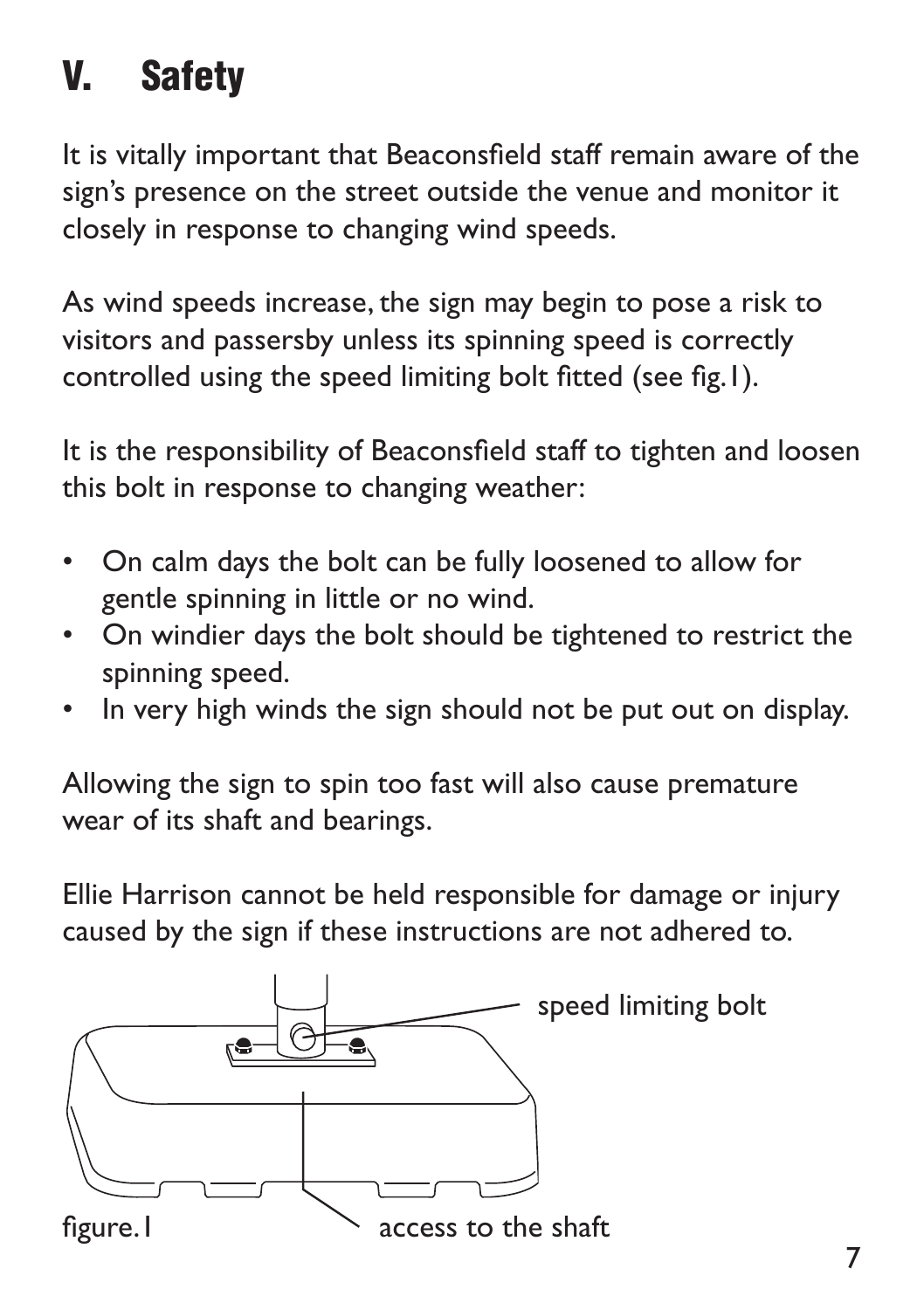## V. Safety

It is vitally important that Beaconsfield staff remain aware of the sign's presence on the street outside the venue and monitor it closely in response to changing wind speeds.

As wind speeds increase, the sign may begin to pose a risk to visitors and passersby unless its spinning speed is correctly controlled using the speed limiting bolt fitted (see fig.1).

It is the responsibility of Beaconsfield staff to tighten and loosen this bolt in response to changing weather:

- On calm days the bolt can be fully loosened to allow for gentle spinning in little or no wind.
- On windier days the bolt should be tightened to restrict the spinning speed.
- In very high winds the sign should not be put out on display.

Allowing the sign to spin too fast will also cause premature wear of its shaft and bearings.

Ellie Harrison cannot be held responsible for damage or injury caused by the sign if these instructions are not adhered to.

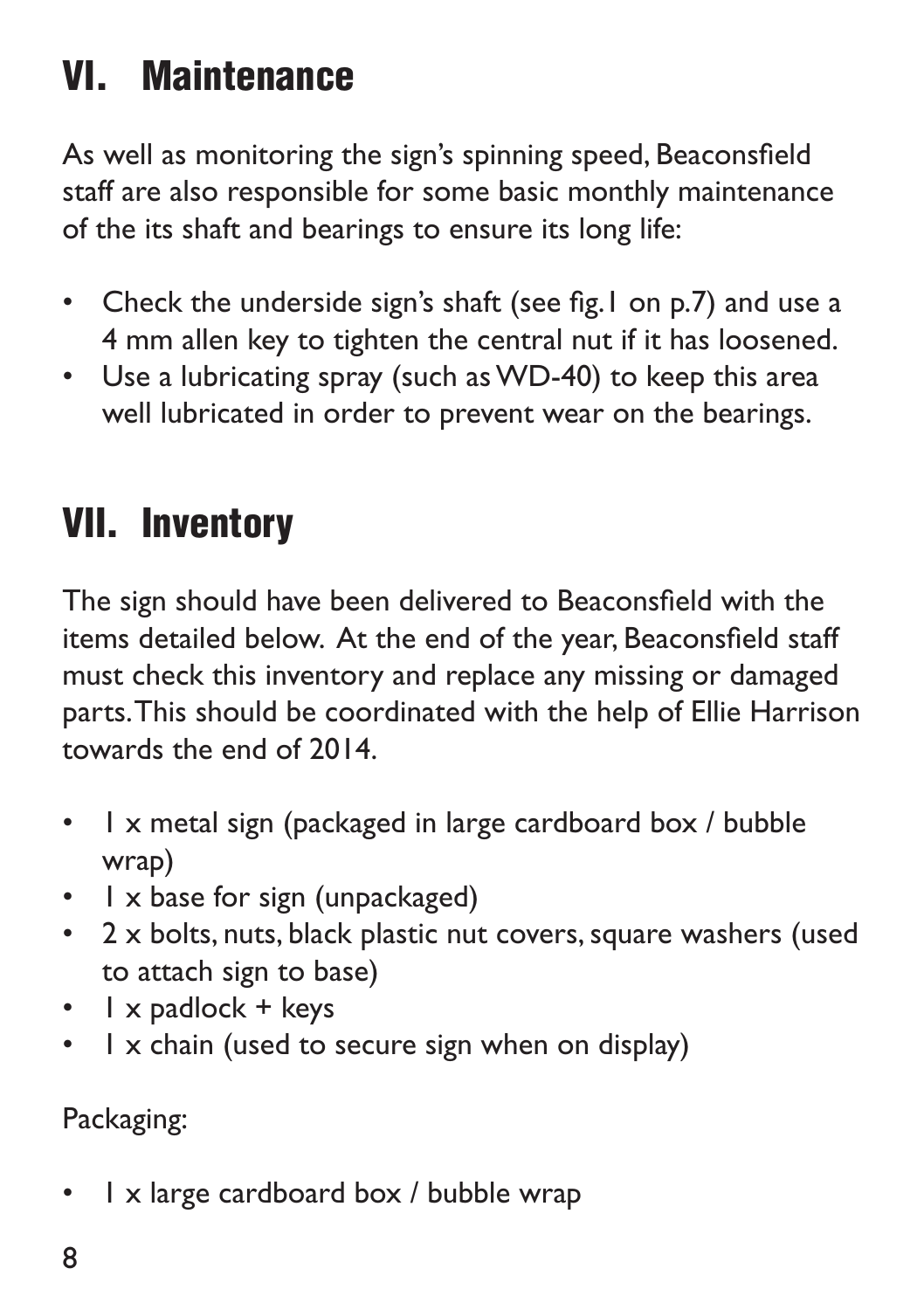### VI. Maintenance

As well as monitoring the sign's spinning speed, Beaconsfield staff are also responsible for some basic monthly maintenance of the its shaft and bearings to ensure its long life:

- Check the underside sign's shaft (see fig.1 on p.7) and use a 4 mm allen key to tighten the central nut if it has loosened.
- Use a lubricating spray (such as WD-40) to keep this area well lubricated in order to prevent wear on the bearings.

#### VII. Inventory

The sign should have been delivered to Beaconsfield with the items detailed below. At the end of the year, Beaconsfield staff must check this inventory and replace any missing or damaged parts. This should be coordinated with the help of Ellie Harrison towards the end of 2014.

- I x metal sign (packaged in large cardboard box / bubble wrap)
- $\cdot$  1 x base for sign (unpackaged)
- 2 x bolts, nuts, black plastic nut covers, square washers (used to attach sign to base)
- $\cdot$  | x padlock + keys
- I x chain (used to secure sign when on display)

Packaging:

• 1 x large cardboard box / bubble wrap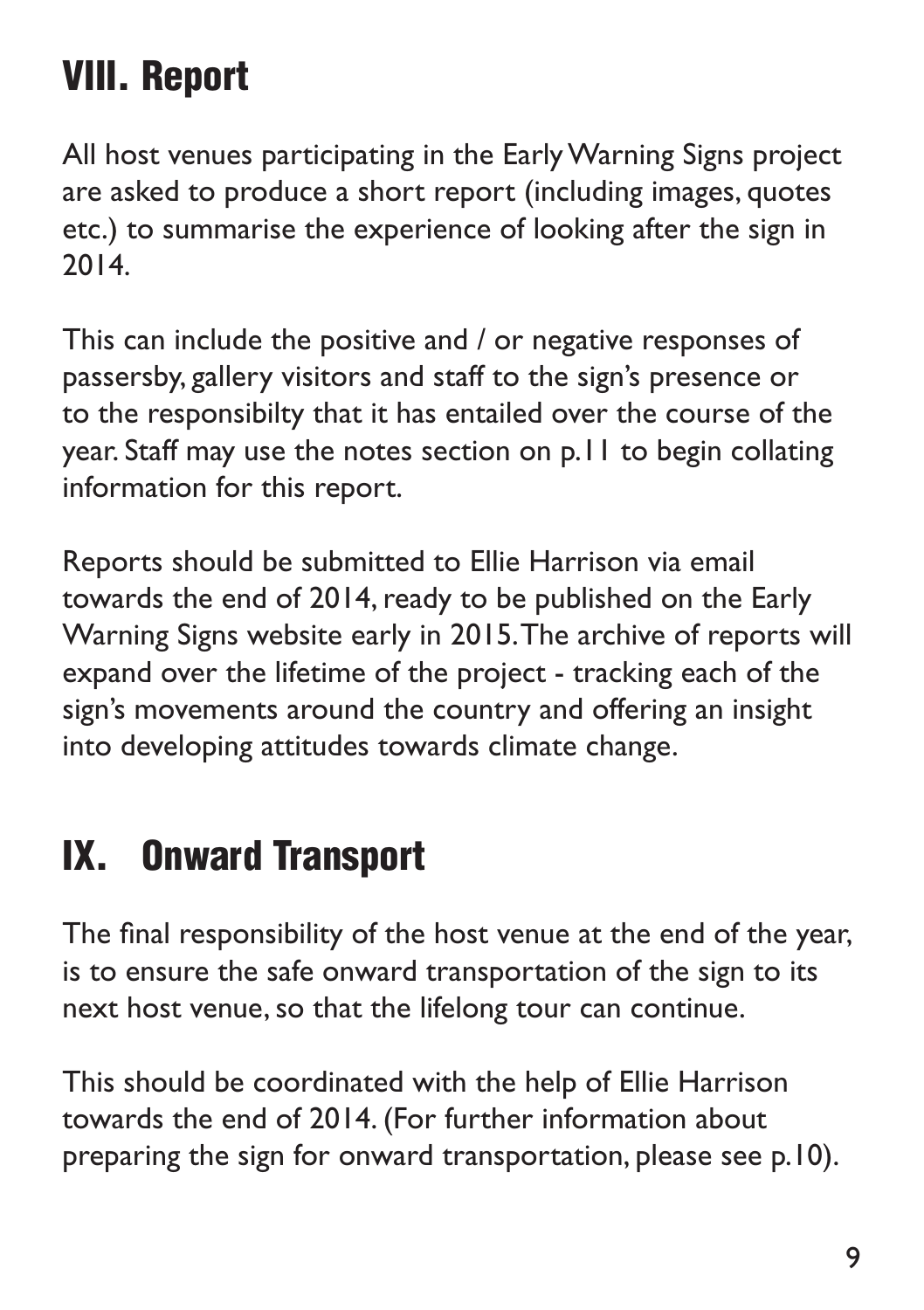### VIII. Report

All host venues participating in the Early Warning Signs project are asked to produce a short report (including images, quotes etc.) to summarise the experience of looking after the sign in 2014.

This can include the positive and / or negative responses of passersby, gallery visitors and staff to the sign's presence or to the responsibilty that it has entailed over the course of the year. Staff may use the notes section on p.11 to begin collating information for this report.

Reports should be submitted to Ellie Harrison via email towards the end of 2014, ready to be published on the Early Warning Signs website early in 2015. The archive of reports will expand over the lifetime of the project - tracking each of the sign's movements around the country and offering an insight into developing attitudes towards climate change.

#### IX. Onward Transport

The final responsibility of the host venue at the end of the year, is to ensure the safe onward transportation of the sign to its next host venue, so that the lifelong tour can continue.

This should be coordinated with the help of Ellie Harrison towards the end of 2014. (For further information about preparing the sign for onward transportation, please see p.10).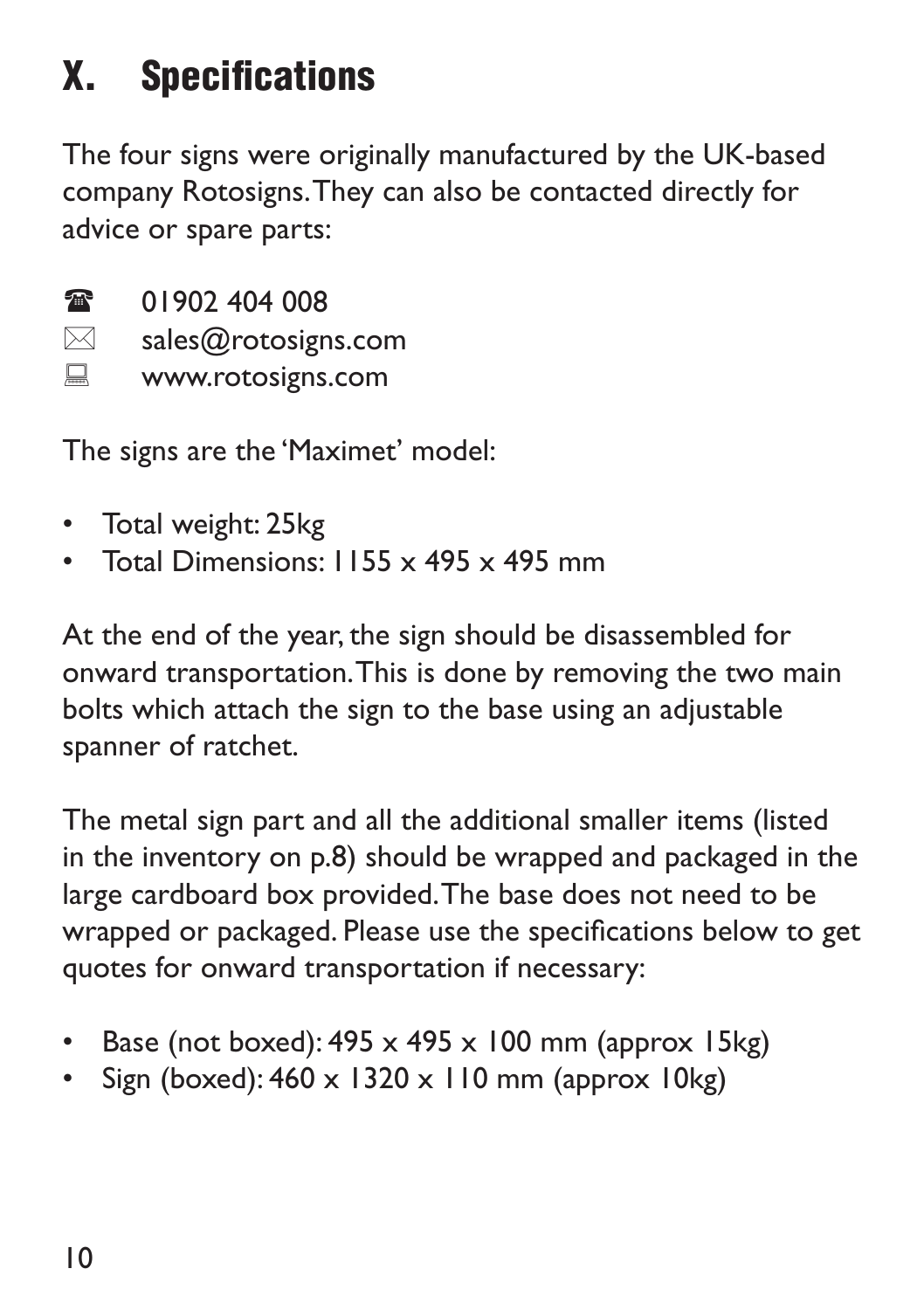## X. Specifications

The four signs were originally manufactured by the UK-based company Rotosigns. They can also be contacted directly for advice or spare parts:

 $\circledR$  01902 404 008

- $\boxtimes$  sales@rotosigns.com
- **WWW.rotosigns.com**

The signs are the 'Maximet' model:

- Total weight: 25kg
- Total Dimensions:  $1155 \times 495 \times 495$  mm

At the end of the year, the sign should be disassembled for onward transportation. This is done by removing the two main bolts which attach the sign to the base using an adjustable spanner of ratchet.

The metal sign part and all the additional smaller items (listed in the inventory on p.8) should be wrapped and packaged in the large cardboard box provided. The base does not need to be wrapped or packaged. Please use the specifications below to get quotes for onward transportation if necessary:

- Base (not boxed):  $495 \times 495 \times 100$  mm (approx  $15kg$ )
- Sign (boxed):  $460 \times 1320 \times 110$  mm (approx  $10$ kg)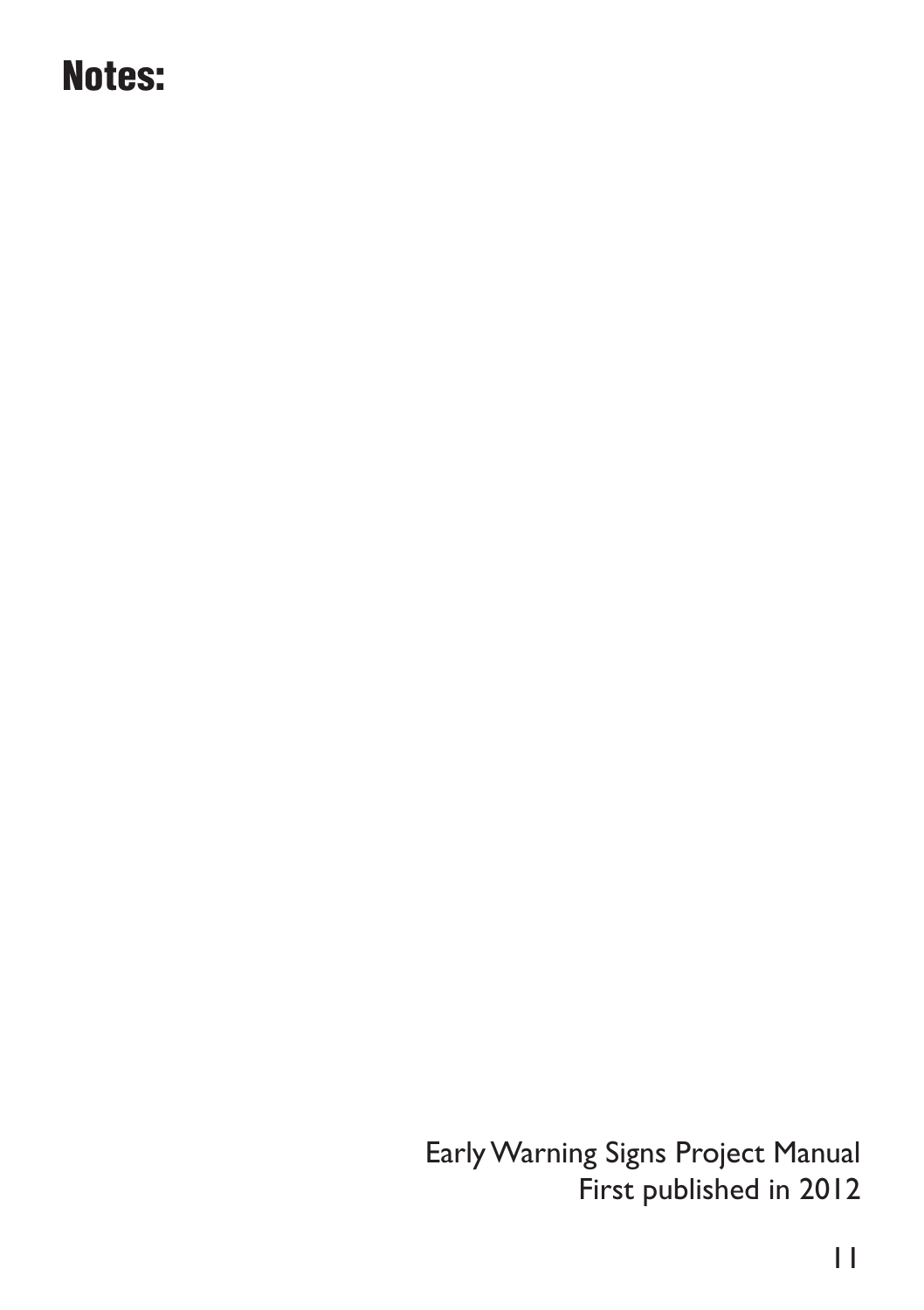#### Notes:

Early Warning Signs Project Manual First published in 2012